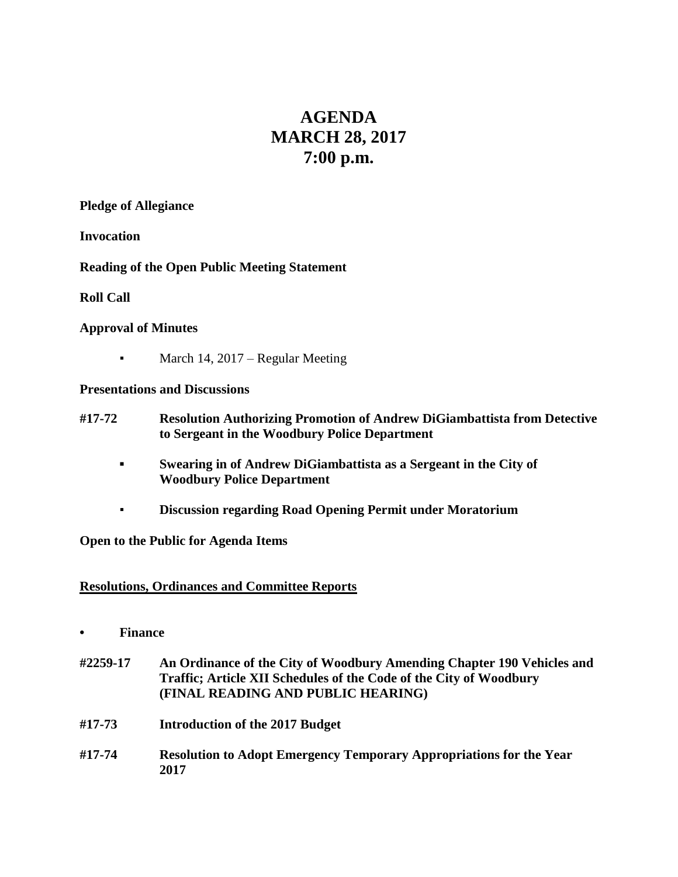# **AGENDA MARCH 28, 2017 7:00 p.m.**

#### **Pledge of Allegiance**

#### **Invocation**

## **Reading of the Open Public Meeting Statement**

## **Roll Call**

## **Approval of Minutes**

• March 14, 2017 – Regular Meeting

## **Presentations and Discussions**

- **#17-72 Resolution Authorizing Promotion of Andrew DiGiambattista from Detective to Sergeant in the Woodbury Police Department**
	- **▪ Swearing in of Andrew DiGiambattista as a Sergeant in the City of Woodbury Police Department**
	- **Discussion regarding Road Opening Permit under Moratorium**

## **Open to the Public for Agenda Items**

## **Resolutions, Ordinances and Committee Reports**

- **• Finance**
- **#2259-17 An Ordinance of the City of Woodbury Amending Chapter 190 Vehicles and Traffic; Article XII Schedules of the Code of the City of Woodbury (FINAL READING AND PUBLIC HEARING)**
- **#17-73 Introduction of the 2017 Budget**
- **#17-74 Resolution to Adopt Emergency Temporary Appropriations for the Year 2017**